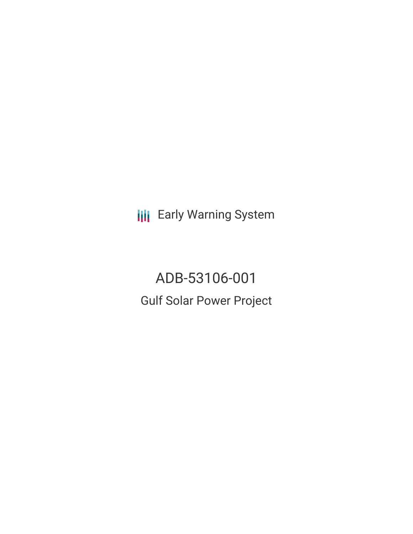**III** Early Warning System

ADB-53106-001 Gulf Solar Power Project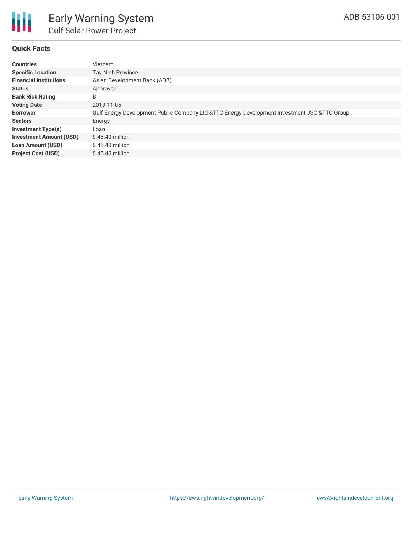

## **Quick Facts**

| <b>Countries</b>               | Vietnam                                                                                      |
|--------------------------------|----------------------------------------------------------------------------------------------|
| <b>Specific Location</b>       | Tay Ninh Province                                                                            |
| <b>Financial Institutions</b>  | Asian Development Bank (ADB)                                                                 |
| <b>Status</b>                  | Approved                                                                                     |
| <b>Bank Risk Rating</b>        | B                                                                                            |
| <b>Voting Date</b>             | 2019-11-05                                                                                   |
| <b>Borrower</b>                | Gulf Energy Development Public Company Ltd &TTC Energy Development Investment JSC &TTC Group |
| <b>Sectors</b>                 | Energy                                                                                       |
| Investment Type(s)             | Loan                                                                                         |
| <b>Investment Amount (USD)</b> | $$45.40$ million                                                                             |
| <b>Loan Amount (USD)</b>       | $$45.40$ million                                                                             |
| <b>Project Cost (USD)</b>      | $$45.40$ million                                                                             |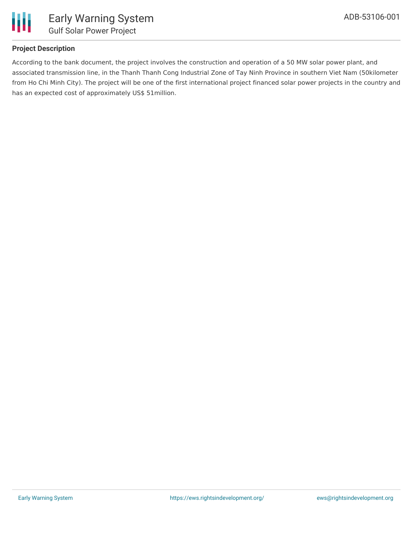

## **Project Description**

According to the bank document, the project involves the construction and operation of a 50 MW solar power plant, and associated transmission line, in the Thanh Thanh Cong Industrial Zone of Tay Ninh Province in southern Viet Nam (50kilometer from Ho Chi Minh City). The project will be one of the first international project financed solar power projects in the country and has an expected cost of approximately US\$ 51million.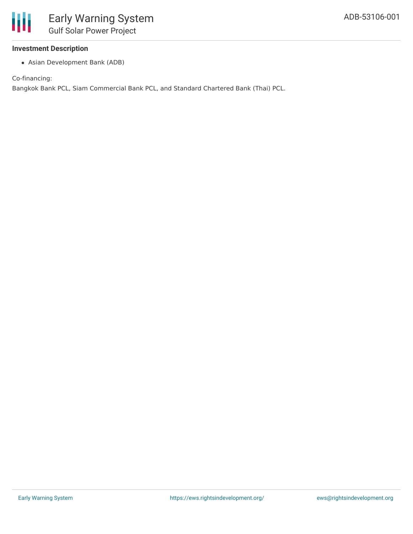### **Investment Description**

Asian Development Bank (ADB)

Co-financing:

Bangkok Bank PCL, Siam Commercial Bank PCL, and Standard Chartered Bank (Thai) PCL.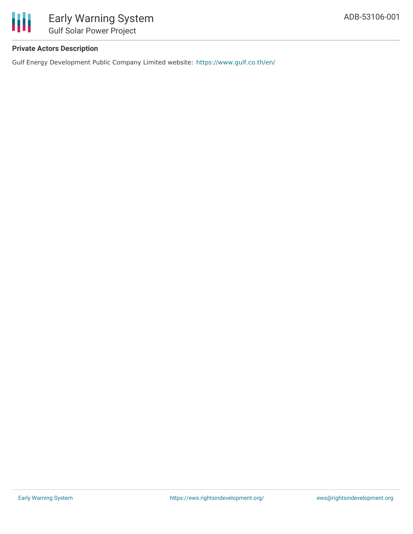

# **Private Actors Description**

Gulf Energy Development Public Company Limited website: <https://www.gulf.co.th/en/>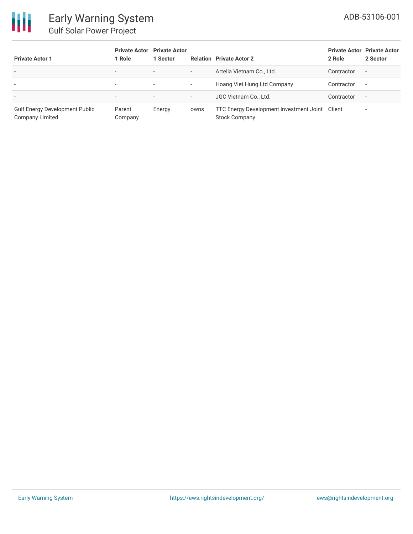

# Early Warning System Gulf Solar Power Project

| <b>Private Actor 1</b>                                          | <b>Private Actor</b> Private Actor<br>1 Role | 1 Sector                 |                          | <b>Relation Private Actor 2</b>                                        | 2 Role     | <b>Private Actor Private Actor</b><br>2 Sector |
|-----------------------------------------------------------------|----------------------------------------------|--------------------------|--------------------------|------------------------------------------------------------------------|------------|------------------------------------------------|
| $\overline{\phantom{a}}$                                        | $\overline{\phantom{a}}$                     | $\overline{\phantom{0}}$ | $\overline{\phantom{a}}$ | Artelia Vietnam Co., Ltd.                                              | Contractor | $\overline{\phantom{a}}$                       |
| $\overline{\phantom{a}}$                                        | ۰                                            | $\overline{\phantom{a}}$ | $\overline{\phantom{a}}$ | Hoang Viet Hung Ltd Company                                            | Contractor | $\overline{\phantom{0}}$                       |
| $\overline{\phantom{0}}$                                        | $\overline{\phantom{a}}$                     | $\overline{\phantom{a}}$ | $\overline{\phantom{a}}$ | JGC Vietnam Co., Ltd.                                                  | Contractor | $\overline{\phantom{0}}$                       |
| <b>Gulf Energy Development Public</b><br><b>Company Limited</b> | Parent<br>Company                            | Energy                   | owns                     | TTC Energy Development Investment Joint Client<br><b>Stock Company</b> |            | $\overline{\phantom{a}}$                       |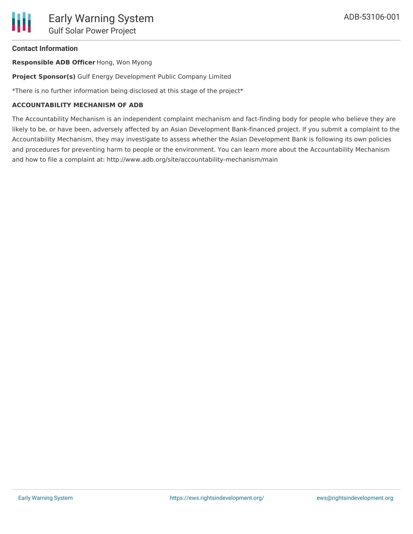### **Contact Information**

**Responsible ADB Officer** Hong, Won Myong

**Project Sponsor(s)** Gulf Energy Development Public Company Limited

\*There is no further information being disclosed at this stage of the project\*

### **ACCOUNTABILITY MECHANISM OF ADB**

The Accountability Mechanism is an independent complaint mechanism and fact-finding body for people who believe they are likely to be, or have been, adversely affected by an Asian Development Bank-financed project. If you submit a complaint to the Accountability Mechanism, they may investigate to assess whether the Asian Development Bank is following its own policies and procedures for preventing harm to people or the environment. You can learn more about the Accountability Mechanism and how to file a complaint at: http://www.adb.org/site/accountability-mechanism/main